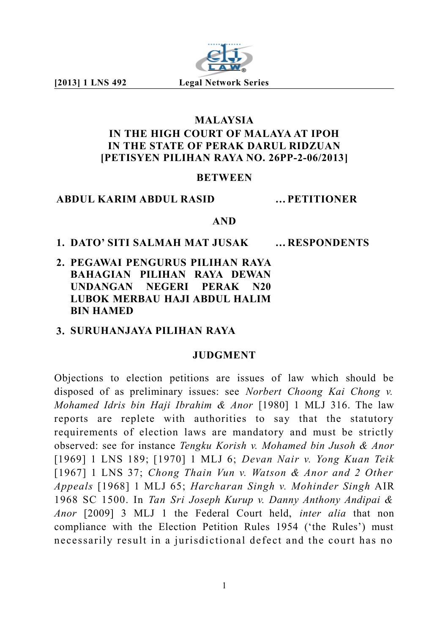

# **MALAYSIA IN THE HIGH COURT OF MALAYA AT IPOH IN THE STATE OF PERAK DARUL RIDZUAN [PETISYEN PILIHAN RAYA NO. 26PP-2-06/2013]**

### **BETWEEN**

### **ABDUL KARIM ABDUL RASID …PETITIONER**

### **AND**

### **1. DATO' SITI SALMAH MAT JUSAK …RESPONDENTS**

**2. PEGAWAI PENGURUS PILIHAN RAYA BAHAGIAN PILIHAN RAYA DEWAN UNDANGAN NEGERI PERAK N20 LUBOK MERBAU HAJI ABDUL HALIM BIN HAMED**

# **3. SURUHANJAYA PILIHAN RAYA**

## **JUDGMENT**

Objections to election petitions are issues of law which should be disposed of as preliminary issues: see *Norbert Choong Kai Chong v. Mohamed Idris bin Haji Ibrahim & Anor* [1980] 1 MLJ 316. The law reports are replete with authorities to say that the statutory requirements of election laws are mandatory and must be strictly observed: see for instance *Tengku Korish v. Mohamed bin Jusoh & Anor* [1969] 1 LNS 189; [1970] 1 MLJ 6; *Devan Nair v. Yong Kuan Teik* [1967] 1 LNS 37; *Chong Thain Vun v. Watson & Anor and 2 Other Appeals* [1968] 1 MLJ 65; *Harcharan Singh v. Mohinder Singh* AIR 1968 SC 1500. In *Tan Sri Joseph Kurup v. Danny Anthony Andipai & Anor* [2009] 3 MLJ 1 the Federal Court held, *inter alia* that non compliance with the Election Petition Rules 1954 ('the Rules') must necessarily result in a jurisdictional defect and the court has no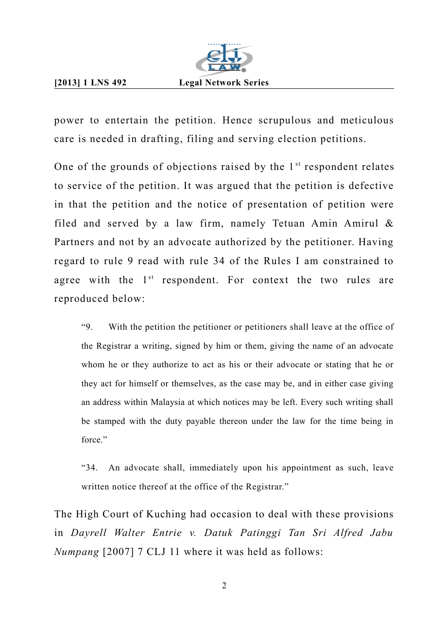

power to entertain the petition. Hence scrupulous and meticulous care is needed in drafting, filing and serving election petitions.

One of the grounds of objections raised by the  $1<sup>st</sup>$  respondent relates to service of the petition. It was argued that the petition is defective in that the petition and the notice of presentation of petition were filed and served by a law firm, namely Tetuan Amin Amirul & Partners and not by an advocate authorized by the petitioner. Having regard to rule 9 read with rule 34 of the Rules I am constrained to agree with the  $1<sup>st</sup>$  respondent. For context the two rules are reproduced below:

"9. With the petition the petitioner or petitioners shall leave at the office of the Registrar a writing, signed by him or them, giving the name of an advocate whom he or they authorize to act as his or their advocate or stating that he or they act for himself or themselves, as the case may be, and in either case giving an address within Malaysia at which notices may be left. Every such writing shall be stamped with the duty payable thereon under the law for the time being in force."

"34. An advocate shall, immediately upon his appointment as such, leave written notice thereof at the office of the Registrar."

The High Court of Kuching had occasion to deal with these provisions in *Dayrell Walter Entrie v. Datuk Patinggi Tan Sri Alfred Jabu Numpang* [2007] 7 CLJ 11 where it was held as follows: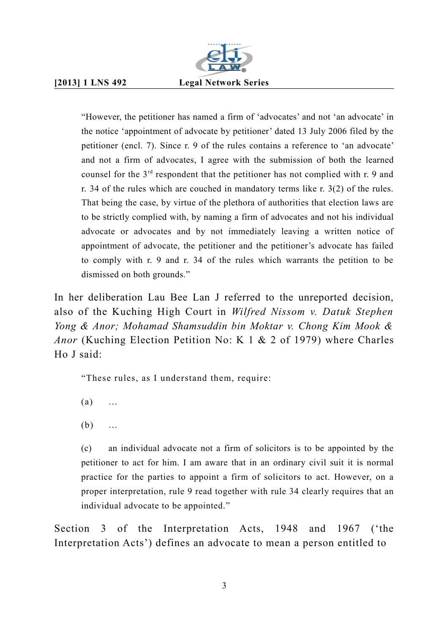

"However, the petitioner has named a firm of 'advocates' and not 'an advocate' in the notice 'appointment of advocate by petitioner' dated 13 July 2006 filed by the petitioner (encl. 7). Since r. 9 of the rules contains a reference to 'an advocate' and not a firm of advocates, I agree with the submission of both the learned counsel for the 3rd respondent that the petitioner has not complied with r. 9 and r. 34 of the rules which are couched in mandatory terms like r. 3(2) of the rules. That being the case, by virtue of the plethora of authorities that election laws are to be strictly complied with, by naming a firm of advocates and not his individual advocate or advocates and by not immediately leaving a written notice of appointment of advocate, the petitioner and the petitioner's advocate has failed to comply with r. 9 and r. 34 of the rules which warrants the petition to be dismissed on both grounds."

In her deliberation Lau Bee Lan J referred to the unreported decision, also of the Kuching High Court in *Wilfred Nissom v. Datuk Stephen Yong & Anor; Mohamad Shamsuddin bin Moktar v. Chong Kim Mook & Anor* (Kuching Election Petition No: K 1 & 2 of 1979) where Charles Ho J said:

"These rules, as I understand them, require:

- (a) …
- (b) …

(c) an individual advocate not a firm of solicitors is to be appointed by the petitioner to act for him. I am aware that in an ordinary civil suit it is normal practice for the parties to appoint a firm of solicitors to act. However, on a proper interpretation, rule 9 read together with rule 34 clearly requires that an individual advocate to be appointed."

Section 3 of the Interpretation Acts, 1948 and 1967 ('the Interpretation Acts') defines an advocate to mean a person entitled to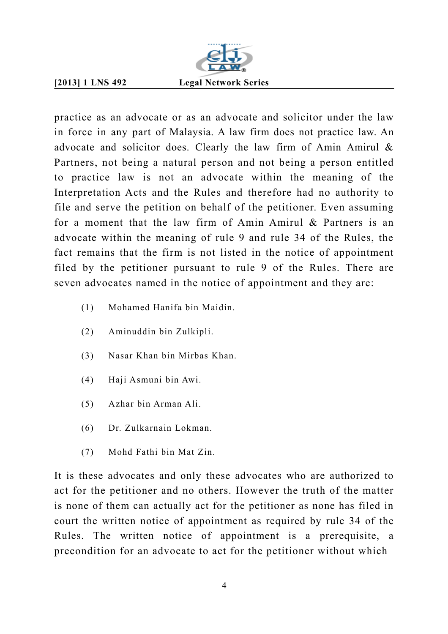

practice as an advocate or as an advocate and solicitor under the law in force in any part of Malaysia. A law firm does not practice law. An advocate and solicitor does. Clearly the law firm of Amin Amirul & Partners, not being a natural person and not being a person entitled to practice law is not an advocate within the meaning of the Interpretation Acts and the Rules and therefore had no authority to file and serve the petition on behalf of the petitioner. Even assuming for a moment that the law firm of Amin Amirul & Partners is an advocate within the meaning of rule 9 and rule 34 of the Rules, the fact remains that the firm is not listed in the notice of appointment filed by the petitioner pursuant to rule 9 of the Rules. There are seven advocates named in the notice of appointment and they are:

- (1) Mohamed Hanifa bin Maidin.
- (2) Aminuddin bin Zulkipli.
- (3) Nasar Khan bin Mirbas Khan.
- (4) Haji Asmuni bin Awi.
- (5) Azhar bin Arman Ali.
- (6) Dr. Zulkarnain Lokman.
- (7) Mohd Fathi bin Mat Zin.

It is these advocates and only these advocates who are authorized to act for the petitioner and no others. However the truth of the matter is none of them can actually act for the petitioner as none has filed in court the written notice of appointment as required by rule 34 of the Rules. The written notice of appointment is a prerequisite, a precondition for an advocate to act for the petitioner without which